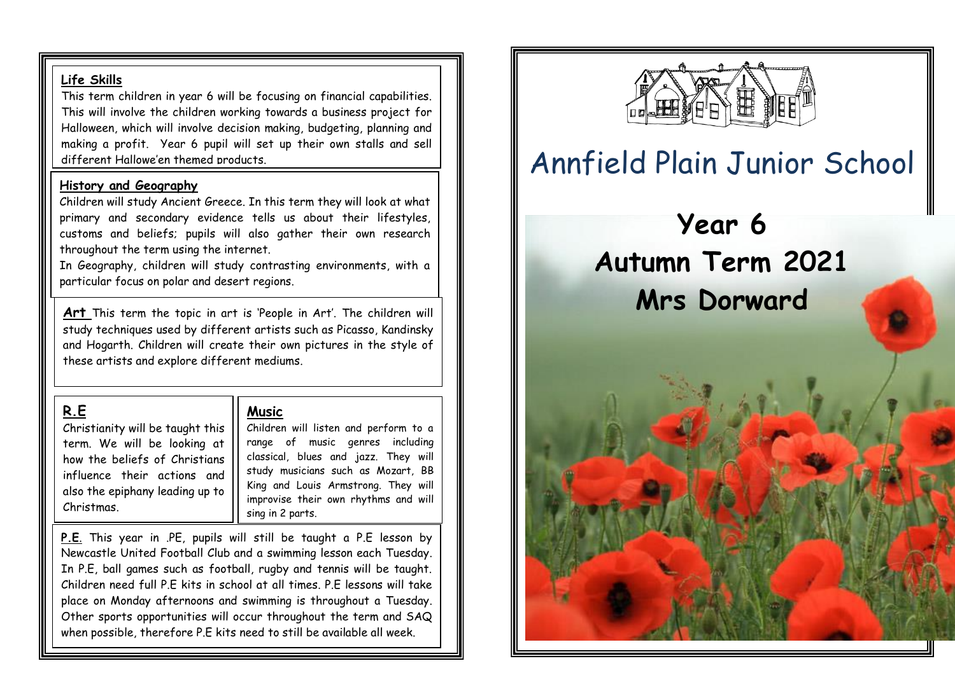### **Life Skills**

This term children in year 6 will be focusing on financial capabilities. This will involve the children working towards a business project for Halloween, which will involve decision making, budgeting, planning and making a profit. Year 6 pupil will set up their own stalls and sell different Hallowe'en themed products.

### **History and Geography**

Children will study Ancient Greece. In this term they will look at what primary and secondary evidence tells us about their lifestyles, customs and beliefs; pupils will also gather their own research throughout the term using the internet.

In Geography, children will study contrasting environments, with a particular focus on polar and desert regions.

**Art** This term the topic in art is 'People in Art'. The children will study techniques used by different artists such as Picasso, Kandinsky and Hogarth. Children will create their own pictures in the style of these artists and explore different mediums.

# **R.E**

Christianity will be taught this term. We will be looking at how the beliefs of Christians influence their actions and also the epiphany leading up to Christmas.

# **Music**

Children will listen and perform to a range of music genres including classical, blues and jazz. They will study musicians such as Mozart, BB King and Louis Armstrong. They will improvise their own rhythms and will sing in 2 parts.

 $\overline{a}$ 

**P.E**. This year in .PE, pupils will still be taught a P.E lesson by Newcastle United Football Club and a swimming lesson each Tuesday. In P.E, ball games such as football, rugby and tennis will be taught. Children need full P.E kits in school at all times. P.E lessons will take place on Monday afternoons and swimming is throughout a Tuesday. Other sports opportunities will occur throughout the term and SAQ when possible, therefore P.E kits need to still be available all week.



# Annfield Plain Junior School

# **Year 6 Autumn Term 2021 Mrs Dorward**